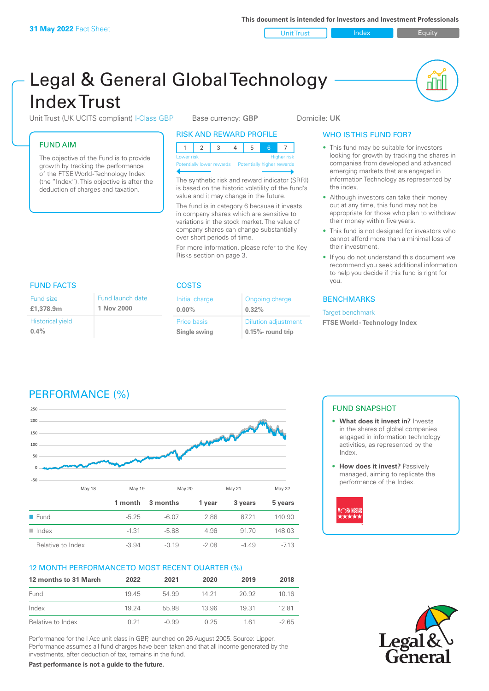

u lu

# Legal & General Global Technology Index Trust

Unit Trust (UK UCITS compliant) I-Class GBP Base currency: **GBP** Domicile: UK

### FUND AIM

The objective of the Fund is to provide growth by tracking the performance of the FTSE World -Technology Index (the "Index"). This objective is after the deduction of charges and taxation.

### RISK AND REWARD PROFILE

| Lower risk |  |  |  | <b>Higher risk</b> |  |
|------------|--|--|--|--------------------|--|

**Prially lower rewards** 

The synthetic risk and reward indicator (SRRI) is based on the historic volatility of the fund's value and it may change in the future.

The fund is in category 6 because it invests in company shares which are sensitive to variations in the stock market. The value of company shares can change substantially over short periods of time.

For more information, please refer to the Key Risks section on page 3.

### WHO IS THIS FUND FOR?

- This fund may be suitable for investors looking for growth by tracking the shares in companies from developed and advanced emerging markets that are engaged in information Technology as represented by the index.
- Although investors can take their money out at any time, this fund may not be appropriate for those who plan to withdraw their money within five years.
- This fund is not designed for investors who cannot afford more than a minimal loss of their investment.
- If you do not understand this document we recommend you seek additional information to help you decide if this fund is right for you.

### BENCHMARKS

Target benchmark

**FTSE World - Technology Index**

### FUND FACTS COSTS

| Fund size                          | Fund launch date |
|------------------------------------|------------------|
| £1,378.9m                          | 1 Nov 2000       |
| <b>Historical yield</b><br>$0.4\%$ |                  |

| Initial charge     | Ongoing charge             |  |  |
|--------------------|----------------------------|--|--|
| $0.00\%$           | $0.32\%$                   |  |  |
| <b>Price basis</b> | <b>Dilution adjustment</b> |  |  |
| Single swing       | $0.15%$ - round trip       |  |  |
|                    |                            |  |  |

## PERFORMANCE (%)



### 12 MONTH PERFORMANCE TO MOST RECENT QUARTER (%)

| 12 months to 31 March | 2022  | 2021    | 2020  | 2019  | 2018   |
|-----------------------|-------|---------|-------|-------|--------|
| Fund                  | 1945  | 54.99   | 14 21 | 20.92 | 1016   |
| Index                 | 19 24 | 55.98   | 13.96 | 1931  | 1281   |
| Relative to Index     | 0.21  | $-0.99$ | 0.25  | 161   | $-265$ |

Performance for the I Acc unit class in GBP, launched on 26 August 2005. Source: Lipper. Performance assumes all fund charges have been taken and that all income generated by the investments, after deduction of tax, remains in the fund.

**Past performance is not a guide to the future.**

### FUND SNAPSHOT

- **• What does it invest in?** Invests in the shares of global companies engaged in information technology activities, as represented by the Index.
- **• How does it invest?** Passively managed, aiming to replicate the performance of the Index.



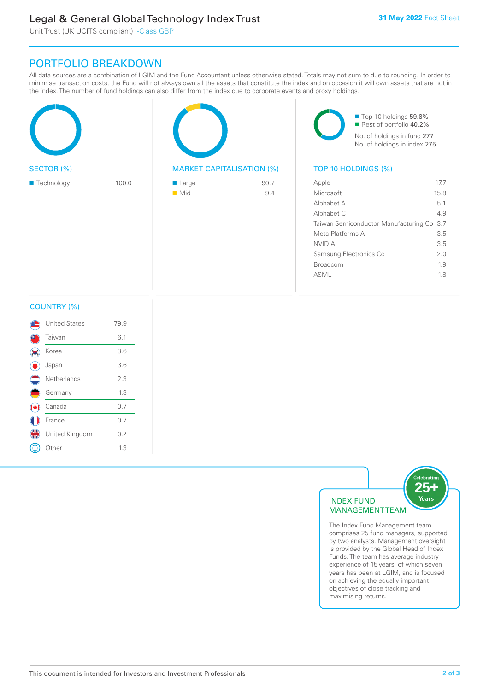### Legal & General Global Technology Index Trust

Unit Trust (UK UCITS compliant) I-Class GBP

### PORTFOLIO BREAKDOWN

All data sources are a combination of LGIM and the Fund Accountant unless otherwise stated. Totals may not sum to due to rounding. In order to minimise transaction costs, the Fund will not always own all the assets that constitute the index and on occasion it will own assets that are not in the index. The number of fund holdings can also differ from the index due to corporate events and proxy holdings.

|                           |       |                                  |      | Top 10 holdings 59.8%                     | Rest of portfolio 40.2%<br>No. of holdings in fund 277<br>No. of holdings in index 275 |
|---------------------------|-------|----------------------------------|------|-------------------------------------------|----------------------------------------------------------------------------------------|
| SECTOR (%)                |       | <b>MARKET CAPITALISATION (%)</b> |      | TOP 10 HOLDINGS (%)                       |                                                                                        |
| $\blacksquare$ Technology | 100.0 | $\blacksquare$ Large             | 90.7 | Apple                                     | 17.7                                                                                   |
|                           |       | $\blacksquare$ Mid               | 9.4  | Microsoft                                 | 15.8                                                                                   |
|                           |       |                                  |      | Alphabet A                                | 5.1                                                                                    |
|                           |       |                                  |      | Alphabet C                                | 4.9                                                                                    |
|                           |       |                                  |      | Taiwan Semiconductor Manufacturing Co 3.7 |                                                                                        |
|                           |       |                                  |      | Meta Platforms A                          | 3.5                                                                                    |
|                           |       |                                  |      | <b>NVIDIA</b>                             | 3.5                                                                                    |
|                           |       |                                  |      | Samsung Electronics Co                    | 2.0                                                                                    |
|                           |       |                                  |      | Broadcom                                  | 1.9                                                                                    |

#### COUNTRY (%)

| <b>United States</b> | 79.9 |  |
|----------------------|------|--|
| Taiwan               | 6.1  |  |
| Korea                | 3.6  |  |
| Japan                | 3.6  |  |
| Netherlands          | 2.3  |  |
| Germany              | 1.3  |  |
| Canada               | 0.7  |  |
| France               | 0.7  |  |
| United Kingdom       | 0.2  |  |
| Other                | 1.3  |  |
|                      |      |  |



ASML 1.8

comprises 25 fund managers, supported by two analysts. Management oversight is provided by the Global Head of Index Funds. The team has average industry experience of 15 years, of which seven years has been at LGIM, and is focused on achieving the equally important objectives of close tracking and maximising returns.